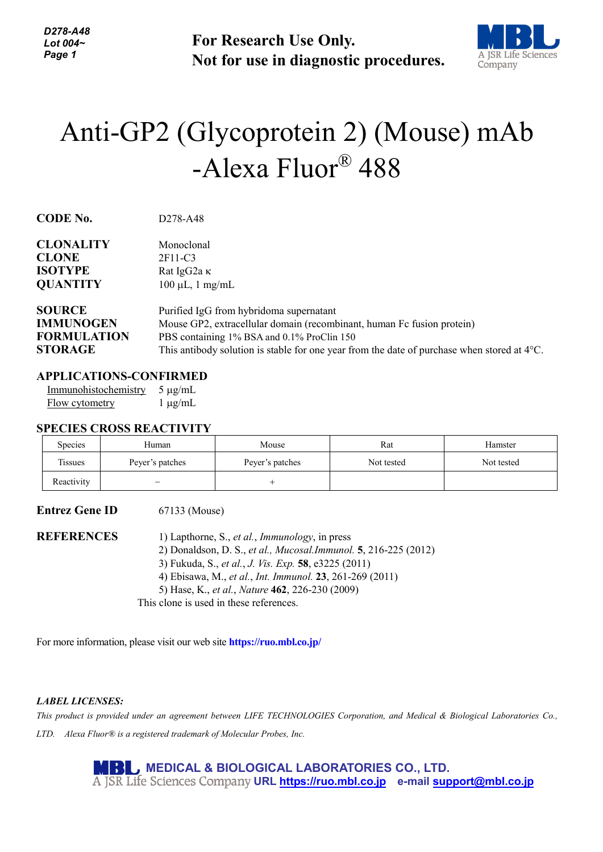**For Research Use Only. Not for use in diagnostic procedures.**



# Anti-GP2 (Glycoprotein 2) (Mouse) mAb -Alexa Fluor® 488

**CODE No.** D278-A48

| <b>CLONALITY</b>   | Monoclonal                                                                                  |
|--------------------|---------------------------------------------------------------------------------------------|
| <b>CLONE</b>       | 2F11-C3                                                                                     |
| <b>ISOTYPE</b>     | Rat IgG2a K                                                                                 |
| <b>QUANTITY</b>    | $100 \mu L$ , 1 mg/mL                                                                       |
| <b>SOURCE</b>      | Purified IgG from hybridoma supernatant                                                     |
| <b>IMMUNOGEN</b>   | Mouse GP2, extracellular domain (recombinant, human Fc fusion protein)                      |
| <b>FORMULATION</b> | PBS containing 1% BSA and 0.1% ProClin 150                                                  |
| <b>STORAGE</b>     | This antibody solution is stable for one year from the date of purchase when stored at 4°C. |

## **APPLICATIONS-CONFIRMED**

Immunohistochemistry 5 µg/mL Flow cytometry  $1 \mu g/mL$ 

#### **SPECIES CROSS REACTIVITY**

| Species        | Human             | Mouse           | Rat        | Hamster    |
|----------------|-------------------|-----------------|------------|------------|
| <b>Tissues</b> | Peyer's patches   | Peyer's patches | Not tested | Not tested |
| Reactivity     | $\qquad \qquad -$ |                 |            |            |

**Entrez Gene ID** 67133 (Mouse)

**REFERENCES** 1) Lapthorne, S., *et al.*, *Immunology*, in press 2) Donaldson, D. S., *et al., Mucosal.Immunol.* **5**, 216-225 (2012) 3) Fukuda, S., *et al.*, *J. Vis. Exp.* **58**, e3225 (2011) 4) Ebisawa, M., *et al.*, *Int. Immunol.* **23**, 261-269 (2011) 5) Hase, K., *et al.*, *Nature* **462**, 226-230 (2009)

This clone is used in these references.

For more information, please visit our web site **https://ruo.mbl.co.jp/**

#### *LABEL LICENSES:*

*This product is provided under an agreement between LIFE TECHNOLOGIES Corporation, and Medical & Biological Laboratories Co., LTD. Alexa Fluor® is a registered trademark of Molecular Probes, Inc.*

> **MEDICAL & BIOLOGICAL LABORATORIES CO., LTD. URL [https://ruo.mbl.co.jp](https://ruo.mbl.co.jp/) e-mail [support@mbl.co.jp](mailto:support@mbl.co.jp)**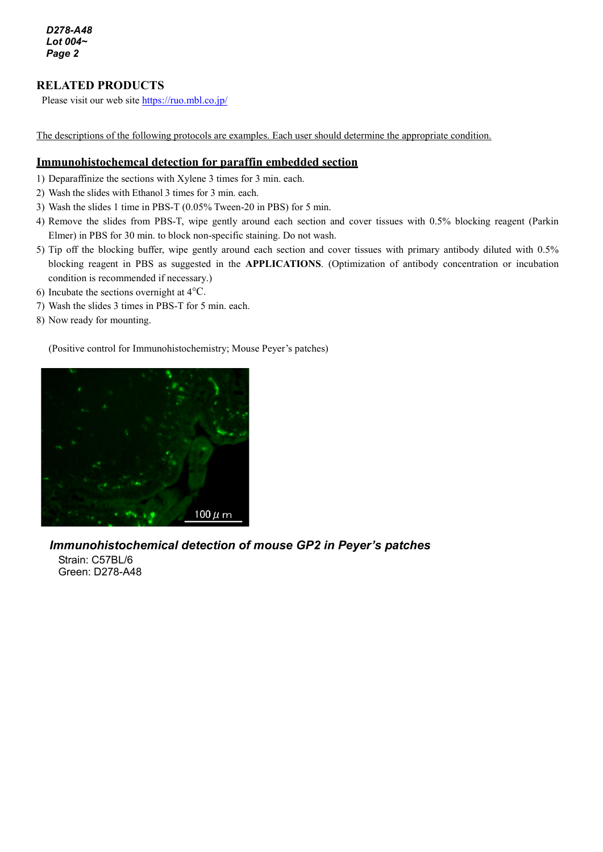*D278-A48 Lot 004~ Page 2*

# **RELATED PRODUCTS**

Please visit our web site<https://ruo.mbl.co.jp/>

The descriptions of the following protocols are examples. Each user should determine the appropriate condition.

### **Immunohistochemcal detection for paraffin embedded section**

1) Deparaffinize the sections with Xylene 3 times for 3 min. each.

- 2) Wash the slides with Ethanol 3 times for 3 min. each.
- 3) Wash the slides 1 time in PBS-T (0.05% Tween-20 in PBS) for 5 min.
- 4) Remove the slides from PBS-T, wipe gently around each section and cover tissues with 0.5% blocking reagent (Parkin Elmer) in PBS for 30 min. to block non-specific staining. Do not wash.
- 5) Tip off the blocking buffer, wipe gently around each section and cover tissues with primary antibody diluted with 0.5% blocking reagent in PBS as suggested in the **APPLICATIONS**. (Optimization of antibody concentration or incubation condition is recommended if necessary.)
- 6) Incubate the sections overnight at 4°C.
- 7) Wash the slides 3 times in PBS-T for 5 min. each.
- 8) Now ready for mounting.

(Positive control for Immunohistochemistry; Mouse Peyer's patches)



*Immunohistochemical detection of mouse GP2 in Peyer's patches*

 Strain: C57BL/6 Green: D278-A48